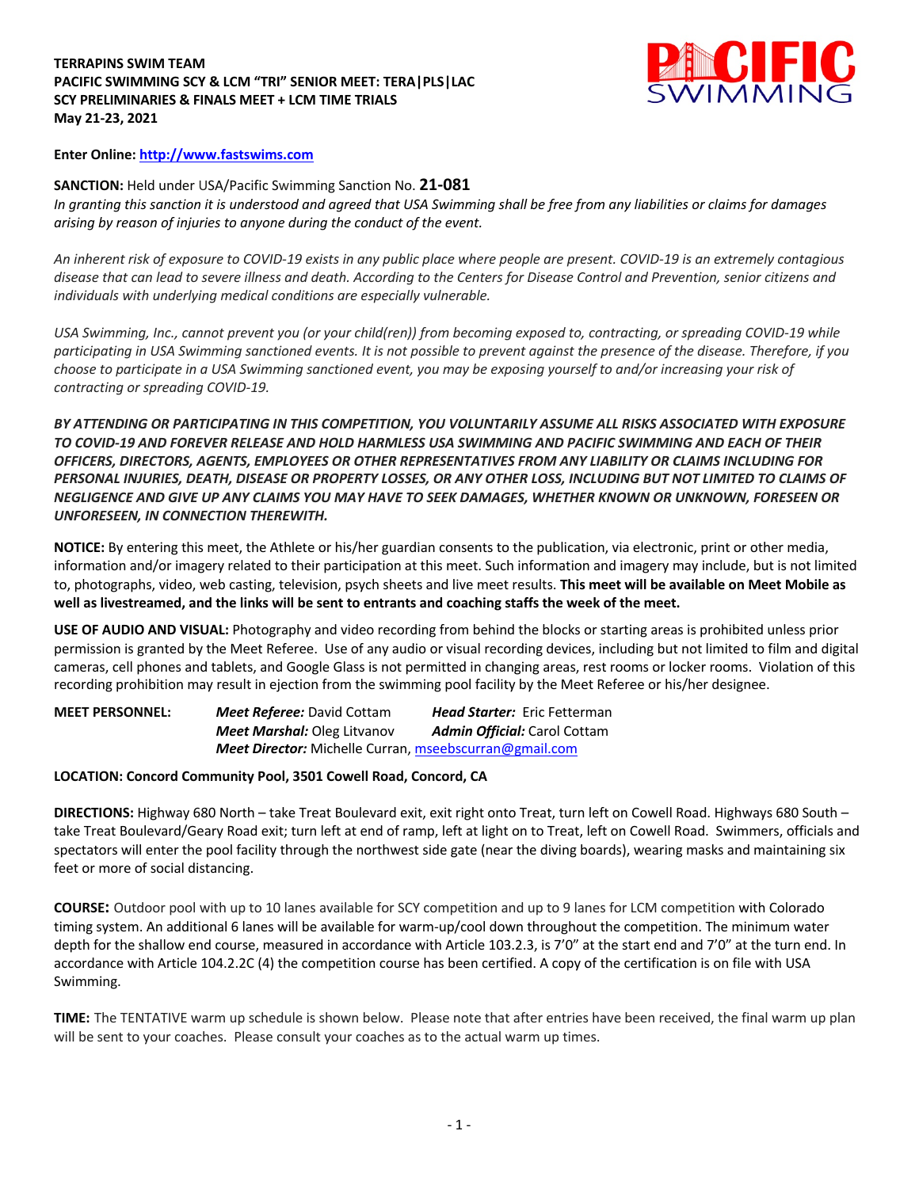## **TERRAPINS SWIM TEAM PACIFIC SWIMMING SCY & LCM "TRI" SENIOR MEET: TERA|PLS|LAC SCY PRELIMINARIES & FINALS MEET + LCM TIME TRIALS May 21-23, 2021**



## **Enter Online: http://www.fastswims.com**

**SANCTION:** Held under USA/Pacific Swimming Sanction No. **21-081** *In granting this sanction it is understood and agreed that USA Swimming shall be free from any liabilities or claims for damages arising by reason of injuries to anyone during the conduct of the event.* 

*An inherent risk of exposure to COVID-19 exists in any public place where people are present. COVID-19 is an extremely contagious disease that can lead to severe illness and death. According to the Centers for Disease Control and Prevention, senior citizens and individuals with underlying medical conditions are especially vulnerable.*

*USA Swimming, Inc., cannot prevent you (or your child(ren)) from becoming exposed to, contracting, or spreading COVID-19 while participating in USA Swimming sanctioned events. It is not possible to prevent against the presence of the disease. Therefore, if you choose to participate in a USA Swimming sanctioned event, you may be exposing yourself to and/or increasing your risk of contracting or spreading COVID-19.*

*BY ATTENDING OR PARTICIPATING IN THIS COMPETITION, YOU VOLUNTARILY ASSUME ALL RISKS ASSOCIATED WITH EXPOSURE TO COVID-19 AND FOREVER RELEASE AND HOLD HARMLESS USA SWIMMING AND PACIFIC SWIMMING AND EACH OF THEIR OFFICERS, DIRECTORS, AGENTS, EMPLOYEES OR OTHER REPRESENTATIVES FROM ANY LIABILITY OR CLAIMS INCLUDING FOR PERSONAL INJURIES, DEATH, DISEASE OR PROPERTY LOSSES, OR ANY OTHER LOSS, INCLUDING BUT NOT LIMITED TO CLAIMS OF NEGLIGENCE AND GIVE UP ANY CLAIMS YOU MAY HAVE TO SEEK DAMAGES, WHETHER KNOWN OR UNKNOWN, FORESEEN OR UNFORESEEN, IN CONNECTION THEREWITH.*

**NOTICE:** By entering this meet, the Athlete or his/her guardian consents to the publication, via electronic, print or other media, information and/or imagery related to their participation at this meet. Such information and imagery may include, but is not limited to, photographs, video, web casting, television, psych sheets and live meet results. **This meet will be available on Meet Mobile as well as livestreamed, and the links will be sent to entrants and coaching staffs the week of the meet.** 

**USE OF AUDIO AND VISUAL:** Photography and video recording from behind the blocks or starting areas is prohibited unless prior permission is granted by the Meet Referee. Use of any audio or visual recording devices, including but not limited to film and digital cameras, cell phones and tablets, and Google Glass is not permitted in changing areas, rest rooms or locker rooms. Violation of this recording prohibition may result in ejection from the swimming pool facility by the Meet Referee or his/her designee.

**MEET PERSONNEL:** *Meet Referee:* David Cottam *Head Starter:* Eric Fetterman *Meet Marshal:* Oleg Litvanov *Admin Official:* Carol Cottam *Meet Director:* Michelle Curran, mseebscurran@gmail.com

# **LOCATION: Concord Community Pool, 3501 Cowell Road, Concord, CA**

**DIRECTIONS:** Highway 680 North – take Treat Boulevard exit, exit right onto Treat, turn left on Cowell Road. Highways 680 South – take Treat Boulevard/Geary Road exit; turn left at end of ramp, left at light on to Treat, left on Cowell Road. Swimmers, officials and spectators will enter the pool facility through the northwest side gate (near the diving boards), wearing masks and maintaining six feet or more of social distancing.

**COURSE:** Outdoor pool with up to 10 lanes available for SCY competition and up to 9 lanes for LCM competition with Colorado timing system. An additional 6 lanes will be available for warm-up/cool down throughout the competition. The minimum water depth for the shallow end course, measured in accordance with Article 103.2.3, is 7'0" at the start end and 7'0" at the turn end. In accordance with Article 104.2.2C (4) the competition course has been certified. A copy of the certification is on file with USA Swimming.

**TIME:** The TENTATIVE warm up schedule is shown below. Please note that after entries have been received, the final warm up plan will be sent to your coaches. Please consult your coaches as to the actual warm up times.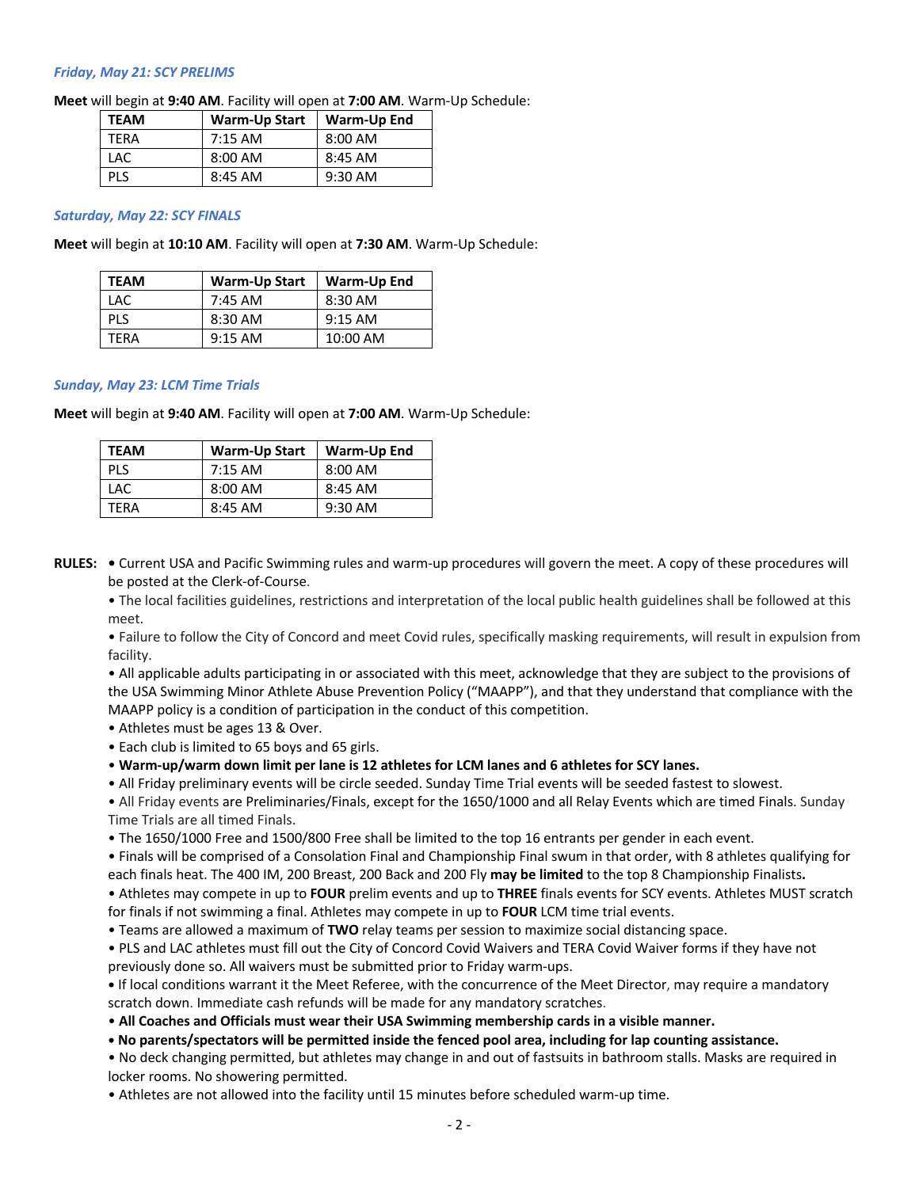### *Friday, May 21: SCY PRELIMS*

**Meet** will begin at **9:40 AM**. Facility will open at **7:00 AM**. Warm-Up Schedule:

| <b>TEAM</b> | <b>Warm-Up Start</b> | Warm-Up End |
|-------------|----------------------|-------------|
| TFRA        | $7:15$ AM            | $8:00$ AM   |
| LAC         | $8:00$ AM            | $8:45$ AM   |
| <b>PIS</b>  | $8:45$ AM            | $9:30$ AM   |

#### *Saturday, May 22: SCY FINALS*

**Meet** will begin at **10:10 AM**. Facility will open at **7:30 AM**. Warm-Up Schedule:

| <b>TEAM</b> | <b>Warm-Up Start</b> | Warm-Up End |
|-------------|----------------------|-------------|
| LAC         | $7:45$ AM            | $8:30$ AM   |
| <b>PLS</b>  | $8:30$ AM            | $9:15$ AM   |
| TFRA        | $9:15$ AM            | 10:00 AM    |

#### *Sunday, May 23: LCM Time Trials*

**Meet** will begin at **9:40 AM**. Facility will open at **7:00 AM**. Warm-Up Schedule:

| <b>TEAM</b> | <b>Warm-Up Start</b> | Warm-Up End |
|-------------|----------------------|-------------|
| <b>PLS</b>  | $7:15$ AM            | $8:00$ AM   |
| LAC         | $8:00$ AM            | $8:45$ AM   |
| TFRA        | $8:45$ AM            | $9:30$ AM   |

**RULES: •** Current USA and Pacific Swimming rules and warm-up procedures will govern the meet. A copy of these procedures will be posted at the Clerk-of-Course.

• The local facilities guidelines, restrictions and interpretation of the local public health guidelines shall be followed at this meet.

• Failure to follow the City of Concord and meet Covid rules, specifically masking requirements, will result in expulsion from facility.

• All applicable adults participating in or associated with this meet, acknowledge that they are subject to the provisions of the USA Swimming Minor Athlete Abuse Prevention Policy ("MAAPP"), and that they understand that compliance with the MAAPP policy is a condition of participation in the conduct of this competition.

- Athletes must be ages 13 & Over.
- Each club is limited to 65 boys and 65 girls.

• **Warm-up/warm down limit per lane is 12 athletes for LCM lanes and 6 athletes for SCY lanes.**

• All Friday preliminary events will be circle seeded. Sunday Time Trial events will be seeded fastest to slowest.

• All Friday events are Preliminaries/Finals, except for the 1650/1000 and all Relay Events which are timed Finals. Sunday Time Trials are all timed Finals.

• The 1650/1000 Free and 1500/800 Free shall be limited to the top 16 entrants per gender in each event.

• Finals will be comprised of a Consolation Final and Championship Final swum in that order, with 8 athletes qualifying for each finals heat. The 400 IM, 200 Breast, 200 Back and 200 Fly **may be limited** to the top 8 Championship Finalists**.**

• Athletes may compete in up to **FOUR** prelim events and up to **THREE** finals events for SCY events. Athletes MUST scratch for finals if not swimming a final. Athletes may compete in up to **FOUR** LCM time trial events.

• Teams are allowed a maximum of **TWO** relay teams per session to maximize social distancing space.

• PLS and LAC athletes must fill out the City of Concord Covid Waivers and TERA Covid Waiver forms if they have not previously done so. All waivers must be submitted prior to Friday warm-ups.

**•** If local conditions warrant it the Meet Referee, with the concurrence of the Meet Director, may require a mandatory scratch down. Immediate cash refunds will be made for any mandatory scratches.

• **All Coaches and Officials must wear their USA Swimming membership cards in a visible manner.** 

**• No parents/spectators will be permitted inside the fenced pool area, including for lap counting assistance.** 

• No deck changing permitted, but athletes may change in and out of fastsuits in bathroom stalls. Masks are required in locker rooms. No showering permitted.

• Athletes are not allowed into the facility until 15 minutes before scheduled warm-up time.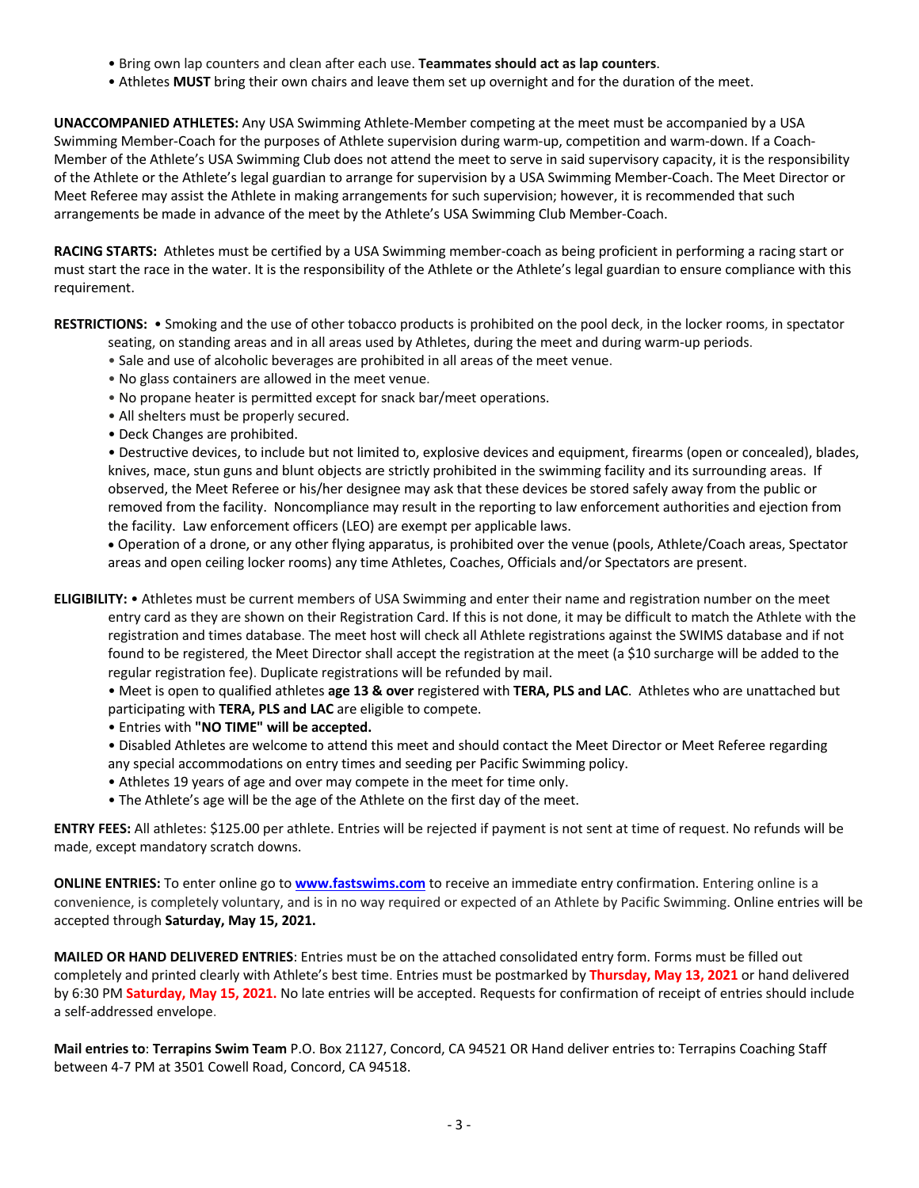- Bring own lap counters and clean after each use. **Teammates should act as lap counters**.
- Athletes **MUST** bring their own chairs and leave them set up overnight and for the duration of the meet.

**UNACCOMPANIED ATHLETES:** Any USA Swimming Athlete-Member competing at the meet must be accompanied by a USA Swimming Member-Coach for the purposes of Athlete supervision during warm-up, competition and warm-down. If a Coach-Member of the Athlete's USA Swimming Club does not attend the meet to serve in said supervisory capacity, it is the responsibility of the Athlete or the Athlete's legal guardian to arrange for supervision by a USA Swimming Member-Coach. The Meet Director or Meet Referee may assist the Athlete in making arrangements for such supervision; however, it is recommended that such arrangements be made in advance of the meet by the Athlete's USA Swimming Club Member-Coach.

**RACING STARTS:** Athletes must be certified by a USA Swimming member-coach as being proficient in performing a racing start or must start the race in the water. It is the responsibility of the Athlete or the Athlete's legal guardian to ensure compliance with this requirement.

**RESTRICTIONS:** • Smoking and the use of other tobacco products is prohibited on the pool deck, in the locker rooms, in spectator

- seating, on standing areas and in all areas used by Athletes, during the meet and during warm-up periods.
- Sale and use of alcoholic beverages are prohibited in all areas of the meet venue.
- No glass containers are allowed in the meet venue.
- No propane heater is permitted except for snack bar/meet operations.
- All shelters must be properly secured.
- Deck Changes are prohibited.

• Destructive devices, to include but not limited to, explosive devices and equipment, firearms (open or concealed), blades, knives, mace, stun guns and blunt objects are strictly prohibited in the swimming facility and its surrounding areas. If observed, the Meet Referee or his/her designee may ask that these devices be stored safely away from the public or removed from the facility. Noncompliance may result in the reporting to law enforcement authorities and ejection from the facility. Law enforcement officers (LEO) are exempt per applicable laws.

• Operation of a drone, or any other flying apparatus, is prohibited over the venue (pools, Athlete/Coach areas, Spectator areas and open ceiling locker rooms) any time Athletes, Coaches, Officials and/or Spectators are present.

**ELIGIBILITY:** • Athletes must be current members of USA Swimming and enter their name and registration number on the meet entry card as they are shown on their Registration Card. If this is not done, it may be difficult to match the Athlete with the registration and times database. The meet host will check all Athlete registrations against the SWIMS database and if not found to be registered, the Meet Director shall accept the registration at the meet (a \$10 surcharge will be added to the regular registration fee). Duplicate registrations will be refunded by mail.

• Meet is open to qualified athletes **age 13 & over** registered with **TERA, PLS and LAC**. Athletes who are unattached but participating with **TERA, PLS and LAC** are eligible to compete.

- Entries with **"NO TIME" will be accepted.**
- Disabled Athletes are welcome to attend this meet and should contact the Meet Director or Meet Referee regarding any special accommodations on entry times and seeding per Pacific Swimming policy.
- Athletes 19 years of age and over may compete in the meet for time only.
- The Athlete's age will be the age of the Athlete on the first day of the meet.

**ENTRY FEES:** All athletes: \$125.00 per athlete. Entries will be rejected if payment is not sent at time of request. No refunds will be made, except mandatory scratch downs.

**ONLINE ENTRIES:** To enter online go to **www.fastswims.com** to receive an immediate entry confirmation. Entering online is a convenience, is completely voluntary, and is in no way required or expected of an Athlete by Pacific Swimming. Online entries will be accepted through **Saturday, May 15, 2021.**

**MAILED OR HAND DELIVERED ENTRIES**: Entries must be on the attached consolidated entry form. Forms must be filled out completely and printed clearly with Athlete's best time. Entries must be postmarked by **Thursday, May 13, 2021** or hand delivered by 6:30 PM **Saturday, May 15, 2021.** No late entries will be accepted. Requests for confirmation of receipt of entries should include a self-addressed envelope.

**Mail entries to**: **Terrapins Swim Team** P.O. Box 21127, Concord, CA 94521 OR Hand deliver entries to: Terrapins Coaching Staff between 4-7 PM at 3501 Cowell Road, Concord, CA 94518.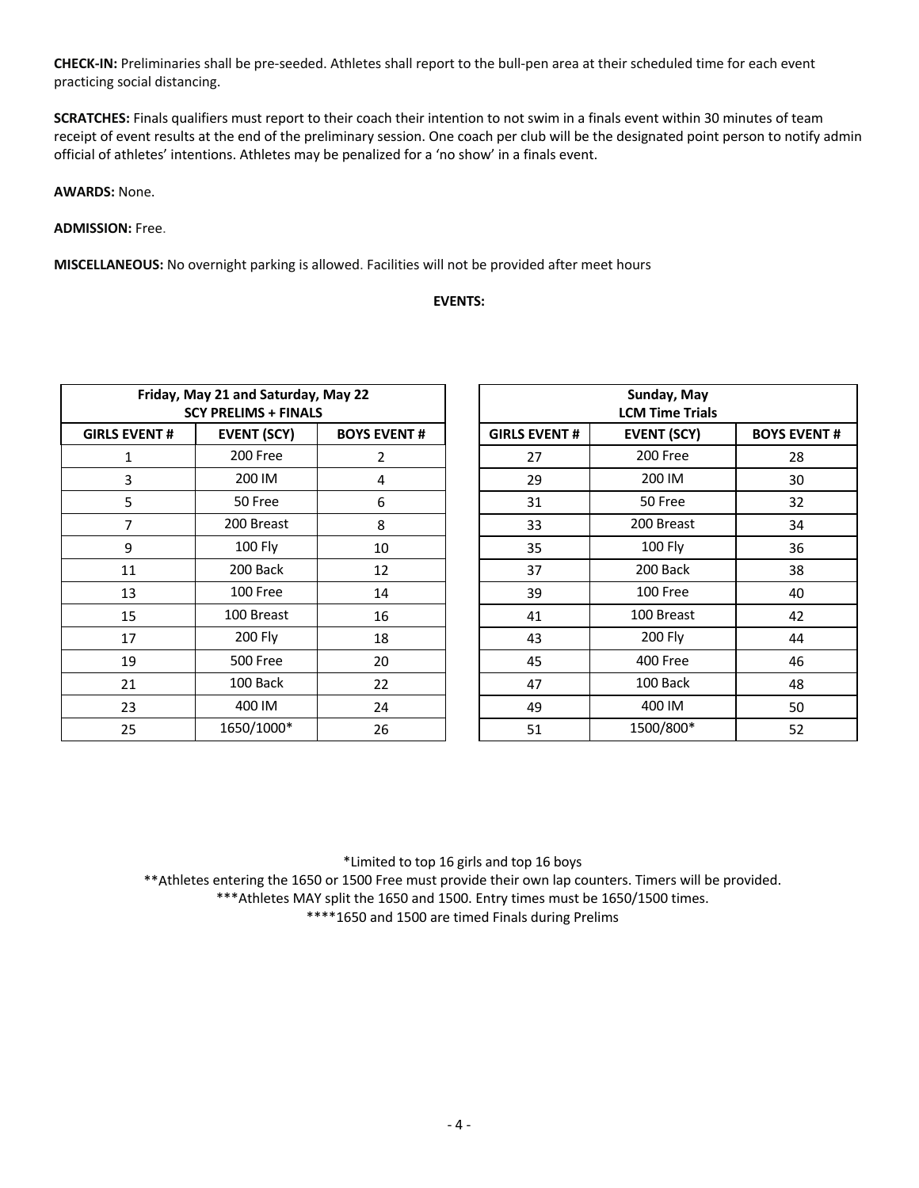**CHECK-IN:** Preliminaries shall be pre-seeded. Athletes shall report to the bull-pen area at their scheduled time for each event practicing social distancing.

**SCRATCHES:** Finals qualifiers must report to their coach their intention to not swim in a finals event within 30 minutes of team receipt of event results at the end of the preliminary session. One coach per club will be the designated point person to notify admin official of athletes' intentions. Athletes may be penalized for a 'no show' in a finals event.

**AWARDS:** None.

**ADMISSION:** Free.

**MISCELLANEOUS:** No overnight parking is allowed. Facilities will not be provided after meet hours

### **EVENTS:**

| Friday, May 21 and Saturday, May 22<br><b>SCY PRELIMS + FINALS</b> |            |    |  |  |  |  |  |  |
|--------------------------------------------------------------------|------------|----|--|--|--|--|--|--|
| <b>EVENT (SCY)</b><br><b>GIRLS EVENT#</b><br><b>BOYS EVENT#</b>    |            |    |  |  |  |  |  |  |
| 1                                                                  | 200 Free   | 2  |  |  |  |  |  |  |
| 3                                                                  | 200 IM     | 4  |  |  |  |  |  |  |
| 5                                                                  | 50 Free    | 6  |  |  |  |  |  |  |
| 7                                                                  | 200 Breast | 8  |  |  |  |  |  |  |
| 9                                                                  | 100 Fly    | 10 |  |  |  |  |  |  |
| 11                                                                 | 200 Back   | 12 |  |  |  |  |  |  |
| 13                                                                 | 100 Free   | 14 |  |  |  |  |  |  |
| 15                                                                 | 100 Breast | 16 |  |  |  |  |  |  |
| 17                                                                 | 200 Fly    | 18 |  |  |  |  |  |  |
| 19                                                                 | 500 Free   | 20 |  |  |  |  |  |  |
| 21                                                                 | 100 Back   | 22 |  |  |  |  |  |  |
| 23                                                                 | 400 IM     | 24 |  |  |  |  |  |  |
| 25                                                                 | 1650/1000* | 26 |  |  |  |  |  |  |

| Friday, May 21 and Saturday, May 22<br><b>SCY PRELIMS + FINALS</b> |                    |                    | Sunday, May<br><b>LCM Time Trials</b>                            |            |    |  |  |  |
|--------------------------------------------------------------------|--------------------|--------------------|------------------------------------------------------------------|------------|----|--|--|--|
| <b>GIRLS EVENT #</b>                                               | <b>EVENT (SCY)</b> | <b>BOYS EVENT#</b> | <b>GIRLS EVENT #</b><br><b>EVENT (SCY)</b><br><b>BOYS EVENT#</b> |            |    |  |  |  |
| 1                                                                  | 200 Free           | $\overline{2}$     | 27                                                               | 200 Free   | 28 |  |  |  |
| 3                                                                  | 200 IM             | 4                  | 29                                                               | 200 IM     | 30 |  |  |  |
| 5                                                                  | 50 Free            | 6                  | 31                                                               | 50 Free    | 32 |  |  |  |
| 7                                                                  | 200 Breast         | 8                  | 33                                                               | 200 Breast | 34 |  |  |  |
| 9                                                                  | 100 Fly            | 10                 | 35                                                               | 100 Fly    | 36 |  |  |  |
| 11                                                                 | 200 Back           | 12                 | 37                                                               | 200 Back   | 38 |  |  |  |
| 13                                                                 | 100 Free           | 14                 | 39                                                               | 100 Free   | 40 |  |  |  |
| 15                                                                 | 100 Breast         | 16                 | 100 Breast<br>41                                                 |            | 42 |  |  |  |
| 17                                                                 | 200 Fly            | 18                 | 200 Fly<br>43                                                    |            | 44 |  |  |  |
| 19                                                                 | <b>500 Free</b>    | 20                 | 45                                                               | 400 Free   | 46 |  |  |  |
| 21                                                                 | 100 Back           | 22                 | 47                                                               | 100 Back   | 48 |  |  |  |
| 23                                                                 | 400 IM             | 24                 | 49                                                               | 400 IM     | 50 |  |  |  |
| 25                                                                 | 1650/1000*         | 26                 | 1500/800*<br>51<br>52                                            |            |    |  |  |  |

\*Limited to top 16 girls and top 16 boys \*\*Athletes entering the 1650 or 1500 Free must provide their own lap counters. Timers will be provided.

\*\*\*Athletes MAY split the 1650 and 1500. Entry times must be 1650/1500 times.

\*\*\*\*1650 and 1500 are timed Finals during Prelims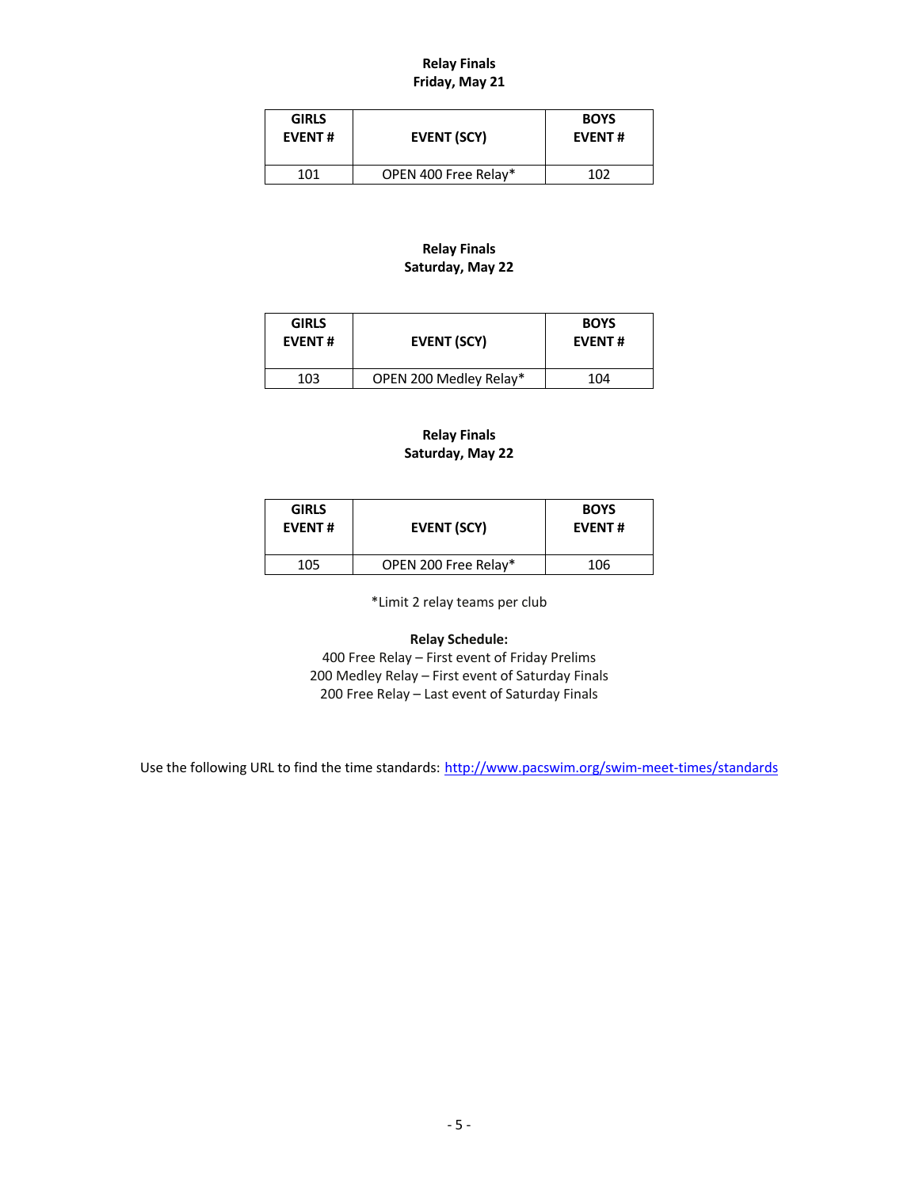## **Relay Finals Friday, May 21**

| <b>GIRLS</b><br><b>EVENT#</b> | EVENT (SCY)          | <b>BOYS</b><br><b>EVENT#</b> |
|-------------------------------|----------------------|------------------------------|
| 101                           | OPEN 400 Free Relay* | 1N 2                         |

# **Relay Finals Saturday, May 22**

| <b>GIRLS</b><br><b>EVENT#</b> | EVENT (SCY)            | <b>BOYS</b><br><b>EVENT#</b> |
|-------------------------------|------------------------|------------------------------|
| 103                           | OPEN 200 Medley Relay* | 104                          |

## **Relay Finals Saturday, May 22**

| EVENT (SCY)          | <b>BOYS</b><br><b>EVENT#</b> |
|----------------------|------------------------------|
| OPEN 200 Free Relay* | 106                          |
|                      |                              |

\*Limit 2 relay teams per club

# **Relay Schedule:**

400 Free Relay – First event of Friday Prelims 200 Medley Relay – First event of Saturday Finals 200 Free Relay – Last event of Saturday Finals

Use the following URL to find the time standards: http://www.pacswim.org/swim-meet-times/standards